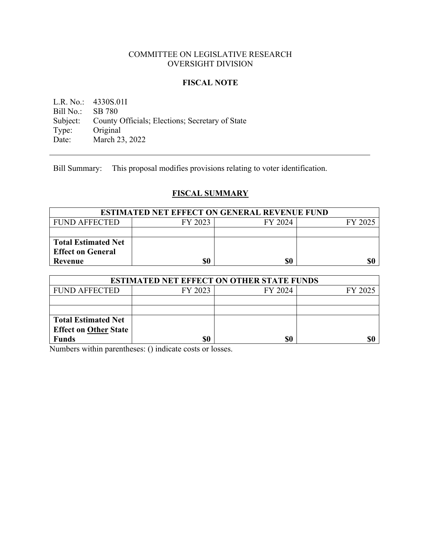## COMMITTEE ON LEGISLATIVE RESEARCH OVERSIGHT DIVISION

## **FISCAL NOTE**

L.R. No.: 4330S.01I<br>Bill No.: SB 780 Bill No.: Subject: County Officials; Elections; Secretary of State<br>Type: Original Type: Original<br>Date: March 23 March 23, 2022

Bill Summary: This proposal modifies provisions relating to voter identification.

# **FISCAL SUMMARY**

| <b>ESTIMATED NET EFFECT ON GENERAL REVENUE FUND</b> |         |         |         |  |
|-----------------------------------------------------|---------|---------|---------|--|
| <b>FUND AFFECTED</b>                                | FY 2023 | FY 2024 | FY 2025 |  |
|                                                     |         |         |         |  |
| <b>Total Estimated Net</b>                          |         |         |         |  |
| <b>Effect on General</b>                            |         |         |         |  |
| Revenue                                             | \$0     | \$0     | \$0     |  |

| <b>ESTIMATED NET EFFECT ON OTHER STATE FUNDS</b> |         |         |         |  |
|--------------------------------------------------|---------|---------|---------|--|
| <b>FUND AFFECTED</b>                             | FY 2023 | FY 2024 | FY 2025 |  |
|                                                  |         |         |         |  |
|                                                  |         |         |         |  |
| <b>Total Estimated Net</b>                       |         |         |         |  |
| <b>Effect on Other State</b>                     |         |         |         |  |
| <b>Funds</b>                                     | \$0     | \$0     |         |  |

Numbers within parentheses: () indicate costs or losses.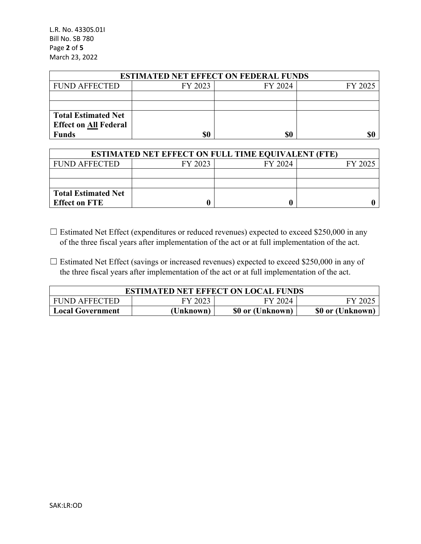L.R. No. 4330S.01I Bill No. SB 780 Page **2** of **5** March 23, 2022

| <b>ESTIMATED NET EFFECT ON FEDERAL FUNDS</b> |         |         |         |  |
|----------------------------------------------|---------|---------|---------|--|
| <b>FUND AFFECTED</b>                         | FY 2023 | FY 2024 | FY 2025 |  |
|                                              |         |         |         |  |
|                                              |         |         |         |  |
| <b>Total Estimated Net</b>                   |         |         |         |  |
| <b>Effect on All Federal</b>                 |         |         |         |  |
| <b>Funds</b>                                 | \$0     | \$0     | \$0     |  |

| <b>ESTIMATED NET EFFECT ON FULL TIME EQUIVALENT (FTE)</b> |         |         |         |  |
|-----------------------------------------------------------|---------|---------|---------|--|
| <b>FUND AFFECTED</b>                                      | FY 2023 | FY 2024 | FY 2025 |  |
|                                                           |         |         |         |  |
|                                                           |         |         |         |  |
| <b>Total Estimated Net</b>                                |         |         |         |  |
| <b>Effect on FTE</b>                                      |         |         |         |  |

- ☐ Estimated Net Effect (expenditures or reduced revenues) expected to exceed \$250,000 in any of the three fiscal years after implementation of the act or at full implementation of the act.
- $\Box$  Estimated Net Effect (savings or increased revenues) expected to exceed \$250,000 in any of the three fiscal years after implementation of the act or at full implementation of the act.

| <b>ESTIMATED NET EFFECT ON LOCAL FUNDS</b> |           |                  |                  |  |
|--------------------------------------------|-----------|------------------|------------------|--|
| <b>FUND AFFECTED</b>                       | FY 2023   | FY 2024          | FY 2025          |  |
| <b>Local Government</b>                    | (Unknown) | \$0 or (Unknown) | \$0 or (Unknown) |  |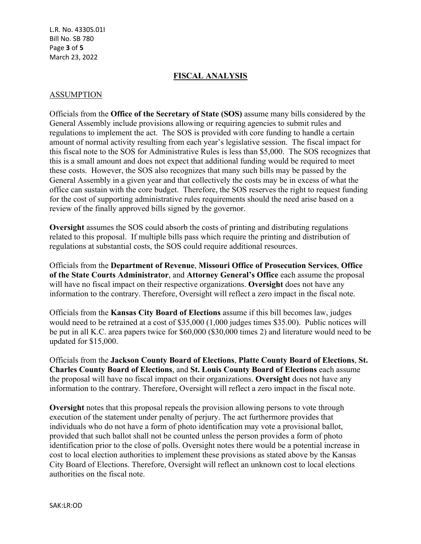L.R. No. 4330S.01I Bill No. SB 780 Page **3** of **5** March 23, 2022

## **FISCAL ANALYSIS**

#### ASSUMPTION

Officials from the **Office of the Secretary of State (SOS)** assume many bills considered by the General Assembly include provisions allowing or requiring agencies to submit rules and regulations to implement the act. The SOS is provided with core funding to handle a certain amount of normal activity resulting from each year's legislative session. The fiscal impact for this fiscal note to the SOS for Administrative Rules is less than \$5,000. The SOS recognizes that this is a small amount and does not expect that additional funding would be required to meet these costs. However, the SOS also recognizes that many such bills may be passed by the General Assembly in a given year and that collectively the costs may be in excess of what the office can sustain with the core budget. Therefore, the SOS reserves the right to request funding for the cost of supporting administrative rules requirements should the need arise based on a review of the finally approved bills signed by the governor.

**Oversight** assumes the SOS could absorb the costs of printing and distributing regulations related to this proposal. If multiple bills pass which require the printing and distribution of regulations at substantial costs, the SOS could require additional resources.

Officials from the **Department of Revenue**, **Missouri Office of Prosecution Services**, **Office of the State Courts Administrator**, and **Attorney General's Office** each assume the proposal will have no fiscal impact on their respective organizations. **Oversight** does not have any information to the contrary. Therefore, Oversight will reflect a zero impact in the fiscal note.

Officials from the **Kansas City Board of Elections** assume if this bill becomes law, judges would need to be retrained at a cost of \$35,000 (1,000 judges times \$35.00). Public notices will be put in all K.C. area papers twice for \$60,000 (\$30,000 times 2) and literature would need to be updated for \$15,000.

Officials from the **Jackson County Board of Elections**, **Platte County Board of Elections**, **St. Charles County Board of Elections**, and **St. Louis County Board of Elections** each assume the proposal will have no fiscal impact on their organizations. **Oversight** does not have any information to the contrary. Therefore, Oversight will reflect a zero impact in the fiscal note.

**Oversight** notes that this proposal repeals the provision allowing persons to vote through execution of the statement under penalty of perjury. The act furthermore provides that individuals who do not have a form of photo identification may vote a provisional ballot, provided that such ballot shall not be counted unless the person provides a form of photo identification prior to the close of polls. Oversight notes there would be a potential increase in cost to local election authorities to implement these provisions as stated above by the Kansas City Board of Elections. Therefore, Oversight will reflect an unknown cost to local elections authorities on the fiscal note.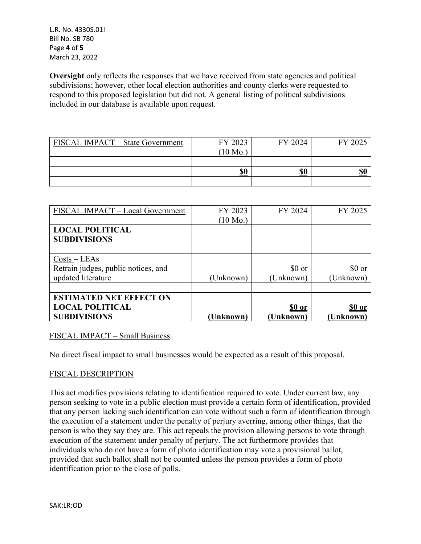L.R. No. 4330S.01I Bill No. SB 780 Page **4** of **5** March 23, 2022

**Oversight** only reflects the responses that we have received from state agencies and political subdivisions; however, other local election authorities and county clerks were requested to respond to this proposed legislation but did not. A general listing of political subdivisions included in our database is available upon request.

| FISCAL IMPACT – State Government | FY 2023    | FY 2024 | FY 2025    |
|----------------------------------|------------|---------|------------|
|                                  | (10 Mo.)   |         |            |
|                                  |            |         |            |
|                                  | <u>\$0</u> | \$0     | <b>\$0</b> |
|                                  |            |         |            |

| FISCAL IMPACT - Local Government    | FY 2023           | FY 2024      | FY 2025         |
|-------------------------------------|-------------------|--------------|-----------------|
|                                     | $(10\text{ Mo.})$ |              |                 |
| <b>LOCAL POLITICAL</b>              |                   |              |                 |
| <b>SUBDIVISIONS</b>                 |                   |              |                 |
|                                     |                   |              |                 |
| $Costs - LEAs$                      |                   |              |                 |
| Retrain judges, public notices, and |                   | \$0 or       | $$0 \text{ or}$ |
| updated literature                  | (Unknown)         | (Unknown)    | (Unknown)       |
|                                     |                   |              |                 |
| <b>ESTIMATED NET EFFECT ON</b>      |                   |              |                 |
| <b>LOCAL POLITICAL</b>              |                   | <u>so or</u> | <u>\$0 or</u>   |
| <b>SUBDIVISIONS</b>                 | (Unknown)         | (Unknown)    | (Unknown)       |

## FISCAL IMPACT – Small Business

No direct fiscal impact to small businesses would be expected as a result of this proposal.

## FISCAL DESCRIPTION

This act modifies provisions relating to identification required to vote. Under current law, any person seeking to vote in a public election must provide a certain form of identification, provided that any person lacking such identification can vote without such a form of identification through the execution of a statement under the penalty of perjury averring, among other things, that the person is who they say they are. This act repeals the provision allowing persons to vote through execution of the statement under penalty of perjury. The act furthermore provides that individuals who do not have a form of photo identification may vote a provisional ballot, provided that such ballot shall not be counted unless the person provides a form of photo identification prior to the close of polls.